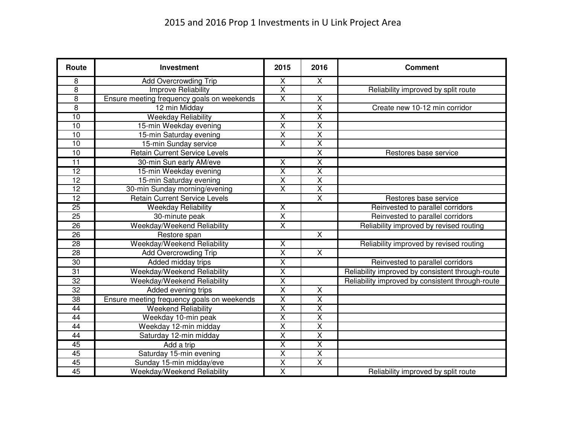| <b>Route</b>    | <b>Investment</b>                          | 2015                    | 2016                    | <b>Comment</b>                                   |
|-----------------|--------------------------------------------|-------------------------|-------------------------|--------------------------------------------------|
| 8               | <b>Add Overcrowding Trip</b>               | X                       | $\overline{\mathsf{X}}$ |                                                  |
| $\overline{8}$  | <b>Improve Reliability</b>                 | $\overline{\mathsf{x}}$ |                         | Reliability improved by split route              |
| $\overline{8}$  | Ensure meeting frequency goals on weekends | $\overline{\mathsf{x}}$ | $\overline{\mathsf{X}}$ |                                                  |
| $\overline{8}$  | 12 min Midday                              |                         | $\overline{\mathsf{x}}$ | Create new 10-12 min corridor                    |
| 10              | <b>Weekday Reliability</b>                 | $\overline{\mathsf{x}}$ | $\overline{\mathsf{X}}$ |                                                  |
| 10              | 15-min Weekday evening                     | $\overline{\mathsf{x}}$ | $\overline{\mathsf{X}}$ |                                                  |
| 10              | 15-min Saturday evening                    | $\overline{\mathsf{x}}$ | $\overline{\mathsf{x}}$ |                                                  |
| 10              | 15-min Sunday service                      | $\overline{X}$          | $\overline{\mathsf{x}}$ |                                                  |
| 10              | <b>Retain Current Service Levels</b>       |                         | $\overline{\mathsf{x}}$ | Restores base service                            |
| 11              | 30-min Sun early AM/eve                    | X                       | $\overline{\mathsf{X}}$ |                                                  |
| $\overline{12}$ | 15-min Weekday evening                     | $\overline{\mathsf{x}}$ | $\overline{\textsf{x}}$ |                                                  |
| $\overline{12}$ | 15-min Saturday evening                    | $\overline{\mathsf{X}}$ | $\overline{\mathsf{x}}$ |                                                  |
| 12              | 30-min Sunday morning/evening              | $\overline{\mathsf{x}}$ | Χ                       |                                                  |
| 12              | <b>Retain Current Service Levels</b>       |                         | $\overline{\mathsf{x}}$ | Restores base service                            |
| 25              | <b>Weekday Reliability</b>                 | $\overline{\mathsf{x}}$ |                         | Reinvested to parallel corridors                 |
| $\overline{25}$ | 30-minute peak                             | $\overline{\mathsf{X}}$ |                         | Reinvested to parallel corridors                 |
| 26              | Weekday/Weekend Reliability                | $\overline{\mathsf{x}}$ |                         | Reliability improved by revised routing          |
| 26              | Restore span                               |                         | $\overline{X}$          |                                                  |
| $\overline{28}$ | Weekday/Weekend Reliability                | X                       |                         | Reliability improved by revised routing          |
| 28              | Add Overcrowding Trip                      | $\overline{\mathsf{x}}$ | $\overline{X}$          |                                                  |
| $\overline{30}$ | Added midday trips                         | $\overline{\mathsf{X}}$ |                         | Reinvested to parallel corridors                 |
| $\overline{31}$ | Weekday/Weekend Reliability                | $\overline{\mathsf{x}}$ |                         | Reliability improved by consistent through-route |
| $\overline{32}$ | Weekday/Weekend Reliability                | $\overline{\textsf{x}}$ |                         | Reliability improved by consistent through-route |
| 32              | Added evening trips                        | $\overline{\mathsf{x}}$ | $\overline{X}$          |                                                  |
| 38              | Ensure meeting frequency goals on weekends | $\overline{\mathsf{x}}$ | $\overline{\mathsf{X}}$ |                                                  |
| 44              | <b>Weekend Reliability</b>                 | $\overline{\mathsf{x}}$ | $\overline{\mathsf{x}}$ |                                                  |
| 44              | Weekday 10-min peak                        | $\overline{\mathsf{x}}$ | $\overline{\mathsf{x}}$ |                                                  |
| $\overline{44}$ | Weekday 12-min midday                      | $\overline{\mathsf{x}}$ | $\overline{\mathsf{x}}$ |                                                  |
| 44              | Saturday 12-min midday                     | $\overline{X}$          | $\overline{\mathsf{x}}$ |                                                  |
| 45              | Add a trip                                 | $\overline{\sf x}$      | $\overline{\mathsf{X}}$ |                                                  |
| 45              | Saturday 15-min evening                    | $\overline{X}$          | $\overline{\mathsf{X}}$ |                                                  |
| 45              | Sunday 15-min midday/eve                   | $\overline{\mathsf{x}}$ | $\overline{\mathsf{X}}$ |                                                  |
| 45              | Weekday/Weekend Reliability                | $\overline{\mathsf{x}}$ |                         | Reliability improved by split route              |